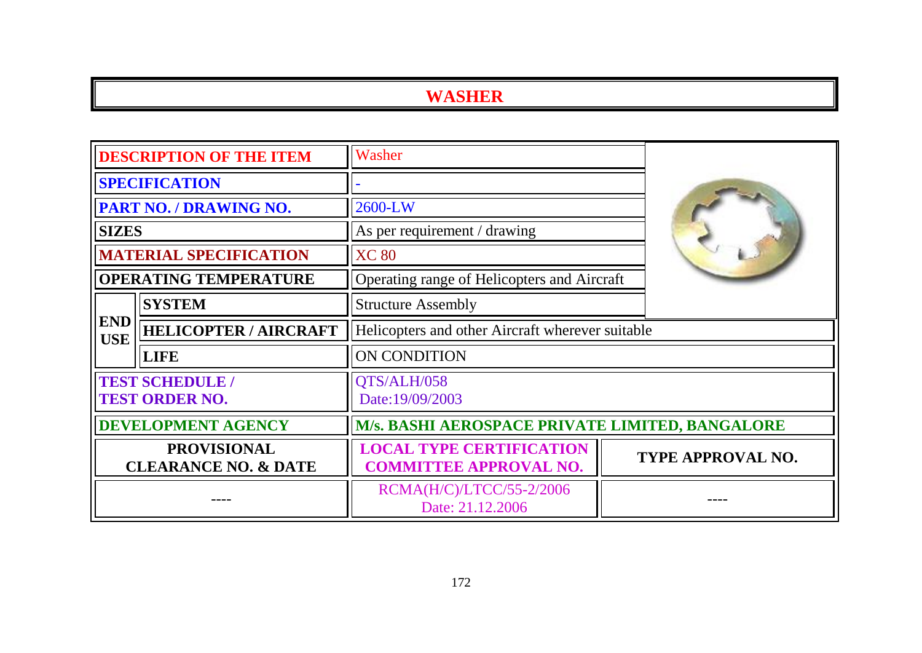| <b>DESCRIPTION OF THE ITEM</b>                                                    |                               | Washer                                                           |  |                   |
|-----------------------------------------------------------------------------------|-------------------------------|------------------------------------------------------------------|--|-------------------|
| <b>SPECIFICATION</b>                                                              |                               |                                                                  |  |                   |
|                                                                                   | PART NO. / DRAWING NO.        | 2600-LW                                                          |  |                   |
| <b>SIZES</b>                                                                      |                               | As per requirement / drawing                                     |  |                   |
|                                                                                   | <b>MATERIAL SPECIFICATION</b> | <b>XC 80</b>                                                     |  |                   |
|                                                                                   | <b>OPERATING TEMPERATURE</b>  | Operating range of Helicopters and Aircraft                      |  |                   |
|                                                                                   | <b>SYSTEM</b>                 | <b>Structure Assembly</b>                                        |  |                   |
| <b>END</b><br><b>USE</b>                                                          | <b>HELICOPTER / AIRCRAFT</b>  | Helicopters and other Aircraft wherever suitable                 |  |                   |
|                                                                                   | <b>LIFE</b>                   | ON CONDITION                                                     |  |                   |
| <b>TEST SCHEDULE /</b><br>QTS/ALH/058<br><b>TEST ORDER NO.</b><br>Date:19/09/2003 |                               |                                                                  |  |                   |
| <b>DEVELOPMENT AGENCY</b>                                                         |                               | M/s. BASHI AEROSPACE PRIVATE LIMITED, BANGALORE                  |  |                   |
| <b>PROVISIONAL</b><br><b>CLEARANCE NO. &amp; DATE</b>                             |                               | <b>LOCAL TYPE CERTIFICATION</b><br><b>COMMITTEE APPROVAL NO.</b> |  | TYPE APPROVAL NO. |
|                                                                                   |                               | RCMA(H/C)/LTCC/55-2/2006<br>Date: 21.12.2006                     |  |                   |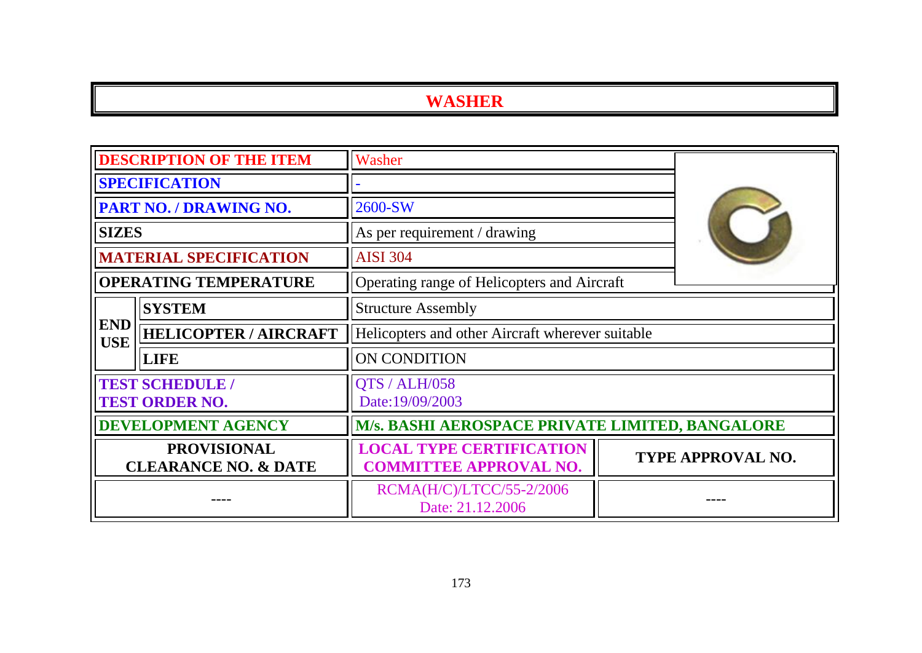|                                                       | <b>DESCRIPTION OF THE ITEM</b>                  | Washer                                                           |  |                          |
|-------------------------------------------------------|-------------------------------------------------|------------------------------------------------------------------|--|--------------------------|
| <b>SPECIFICATION</b>                                  |                                                 |                                                                  |  |                          |
|                                                       | PART NO. / DRAWING NO.                          | 2600-SW                                                          |  |                          |
| <b>SIZES</b>                                          |                                                 | As per requirement / drawing                                     |  |                          |
|                                                       | <b>MATERIAL SPECIFICATION</b>                   | <b>AISI 304</b>                                                  |  |                          |
|                                                       | <b>OPERATING TEMPERATURE</b>                    | Operating range of Helicopters and Aircraft                      |  |                          |
|                                                       | <b>SYSTEM</b>                                   | <b>Structure Assembly</b>                                        |  |                          |
| <b>END</b><br><b>USE</b>                              | <b>HELICOPTER / AIRCRAFT</b>                    | Helicopters and other Aircraft wherever suitable                 |  |                          |
|                                                       | <b>LIFE</b>                                     | ON CONDITION                                                     |  |                          |
|                                                       | <b>TEST SCHEDULE /</b><br><b>TEST ORDER NO.</b> | QTS / ALH/058<br>Date:19/09/2003                                 |  |                          |
| <b>DEVELOPMENT AGENCY</b>                             |                                                 | <b>M/s. BASHI AEROSPACE PRIVATE LIMITED, BANGALORE</b>           |  |                          |
| <b>PROVISIONAL</b><br><b>CLEARANCE NO. &amp; DATE</b> |                                                 | <b>LOCAL TYPE CERTIFICATION</b><br><b>COMMITTEE APPROVAL NO.</b> |  | <b>TYPE APPROVAL NO.</b> |
|                                                       |                                                 | RCMA(H/C)/LTCC/55-2/2006<br>Date: 21.12.2006                     |  |                          |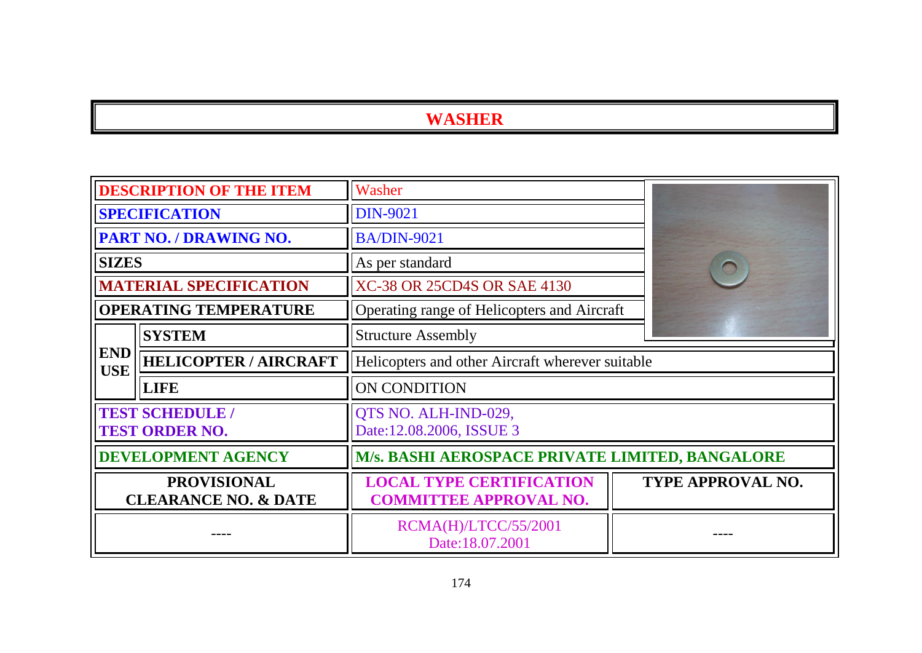|                                                       | <b>DESCRIPTION OF THE ITEM</b>                  | Washer                                                           |                          |
|-------------------------------------------------------|-------------------------------------------------|------------------------------------------------------------------|--------------------------|
|                                                       | <b>SPECIFICATION</b>                            | <b>DIN-9021</b>                                                  |                          |
|                                                       | <b>PART NO. / DRAWING NO.</b>                   | <b>BA/DIN-9021</b>                                               |                          |
| <b>SIZES</b>                                          |                                                 | As per standard                                                  |                          |
|                                                       | <b>MATERIAL SPECIFICATION</b>                   | <b>XC-38 OR 25CD4S OR SAE 4130</b>                               |                          |
|                                                       | <b>OPERATING TEMPERATURE</b>                    | Operating range of Helicopters and Aircraft                      |                          |
|                                                       | <b>SYSTEM</b>                                   | <b>Structure Assembly</b>                                        |                          |
| <b>END</b><br><b>USE</b>                              | <b>HELICOPTER / AIRCRAFT</b>                    | Helicopters and other Aircraft wherever suitable                 |                          |
|                                                       | <b>LIFE</b>                                     | <b>ON CONDITION</b>                                              |                          |
|                                                       | <b>TEST SCHEDULE /</b><br><b>TEST ORDER NO.</b> | QTS NO. ALH-IND-029,<br>Date:12.08.2006, ISSUE 3                 |                          |
| <b>DEVELOPMENT AGENCY</b>                             |                                                 | M/s. BASHI AEROSPACE PRIVATE LIMITED, BANGALORE                  |                          |
| <b>PROVISIONAL</b><br><b>CLEARANCE NO. &amp; DATE</b> |                                                 | <b>LOCAL TYPE CERTIFICATION</b><br><b>COMMITTEE APPROVAL NO.</b> | <b>TYPE APPROVAL NO.</b> |
|                                                       |                                                 | RCMA(H)/LTCC/55/2001<br>Date:18.07.2001                          |                          |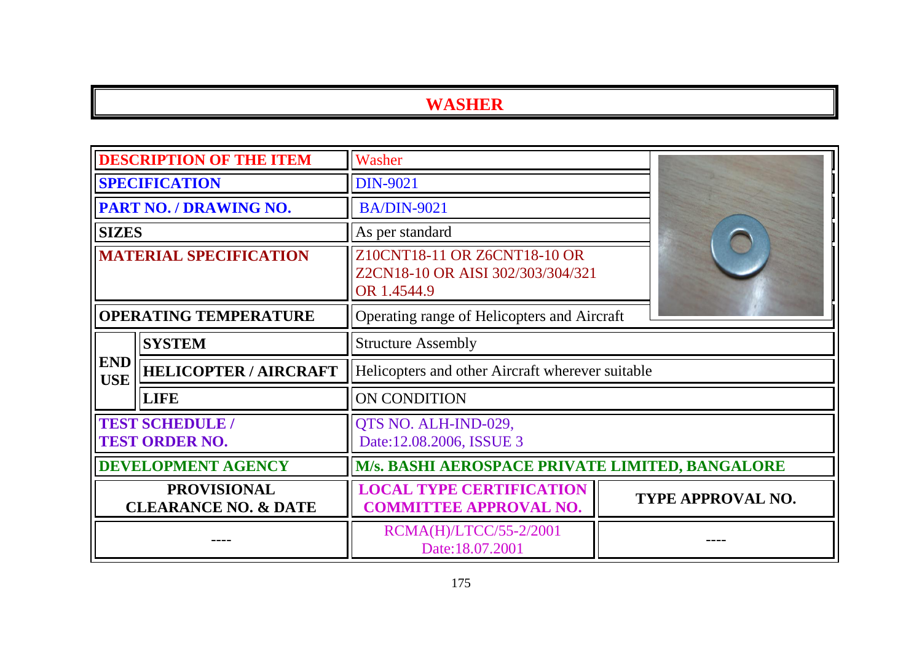|                                                       | <b>DESCRIPTION OF THE ITEM</b> | Washer                                                                           |                          |  |
|-------------------------------------------------------|--------------------------------|----------------------------------------------------------------------------------|--------------------------|--|
| <b>SPECIFICATION</b>                                  |                                | <b>DIN-9021</b>                                                                  |                          |  |
|                                                       | PART NO. / DRAWING NO.         | <b>BA/DIN-9021</b>                                                               |                          |  |
| <b>SIZES</b>                                          |                                | As per standard                                                                  |                          |  |
| <b>MATERIAL SPECIFICATION</b>                         |                                | Z10CNT18-11 OR Z6CNT18-10 OR<br>Z2CN18-10 OR AISI 302/303/304/321<br>OR 1.4544.9 |                          |  |
| <b>OPERATING TEMPERATURE</b>                          |                                | Operating range of Helicopters and Aircraft                                      |                          |  |
|                                                       | <b>SYSTEM</b>                  | <b>Structure Assembly</b>                                                        |                          |  |
| <b>END</b><br><b>USE</b>                              | <b>HELICOPTER / AIRCRAFT</b>   | Helicopters and other Aircraft wherever suitable                                 |                          |  |
|                                                       | <b>LIFE</b>                    | <b>ON CONDITION</b>                                                              |                          |  |
| <b>TEST SCHEDULE /</b><br><b>TEST ORDER NO.</b>       |                                | QTS NO. ALH-IND-029,<br>Date:12.08.2006, ISSUE 3                                 |                          |  |
| <b>DEVELOPMENT AGENCY</b>                             |                                | M/s. BASHI AEROSPACE PRIVATE LIMITED, BANGALORE                                  |                          |  |
| <b>PROVISIONAL</b><br><b>CLEARANCE NO. &amp; DATE</b> |                                | <b>LOCAL TYPE CERTIFICATION</b><br><b>COMMITTEE APPROVAL NO.</b>                 | <b>TYPE APPROVAL NO.</b> |  |
|                                                       |                                | RCMA(H)/LTCC/55-2/2001<br>Date:18.07.2001                                        |                          |  |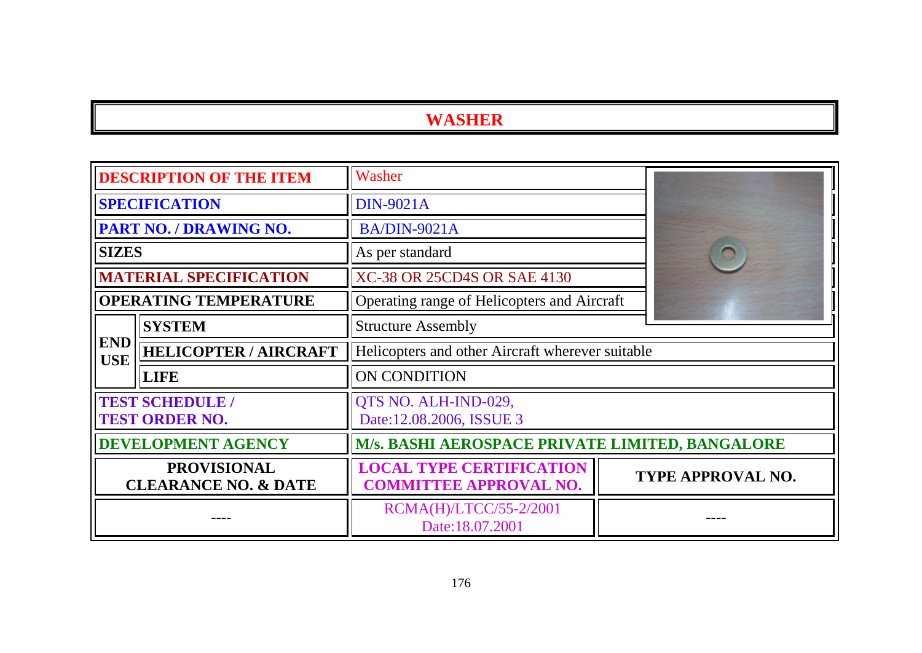|                                                          | <b>DESCRIPTION OF THE ITEM</b>             | Washer                                                           |  |                   |  |
|----------------------------------------------------------|--------------------------------------------|------------------------------------------------------------------|--|-------------------|--|
|                                                          | <b>SPECIFICATION</b>                       | <b>DIN-9021A</b>                                                 |  |                   |  |
|                                                          | <b>PART NO. / DRAWING NO.</b>              | <b>BA/DIN-9021A</b>                                              |  |                   |  |
| <b>SIZES</b>                                             |                                            | As per standard                                                  |  |                   |  |
|                                                          | <b>MATERIAL SPECIFICATION</b>              | XC-38 OR 25CD4S OR SAE 4130                                      |  |                   |  |
|                                                          | <b>OPERATING TEMPERATURE</b>               | Operating range of Helicopters and Aircraft                      |  |                   |  |
|                                                          | <b>SYSTEM</b><br><b>Structure Assembly</b> |                                                                  |  |                   |  |
| <b>END</b><br><b>HELICOPTER / AIRCRAFT</b><br><b>USE</b> |                                            | Helicopters and other Aircraft wherever suitable                 |  |                   |  |
|                                                          | <b>LIFE</b>                                | <b>ON CONDITION</b>                                              |  |                   |  |
| <b>TEST SCHEDULE /</b><br><b>TEST ORDER NO.</b>          |                                            | QTS NO. ALH-IND-029,<br>Date:12.08.2006, ISSUE 3                 |  |                   |  |
| <b>DEVELOPMENT AGENCY</b>                                |                                            | M/s. BASHI AEROSPACE PRIVATE LIMITED, BANGALORE                  |  |                   |  |
| <b>PROVISIONAL</b><br><b>CLEARANCE NO. &amp; DATE</b>    |                                            | <b>LOCAL TYPE CERTIFICATION</b><br><b>COMMITTEE APPROVAL NO.</b> |  | TYPE APPROVAL NO. |  |
|                                                          |                                            | RCMA(H)/LTCC/55-2/2001<br>Date:18.07.2001                        |  |                   |  |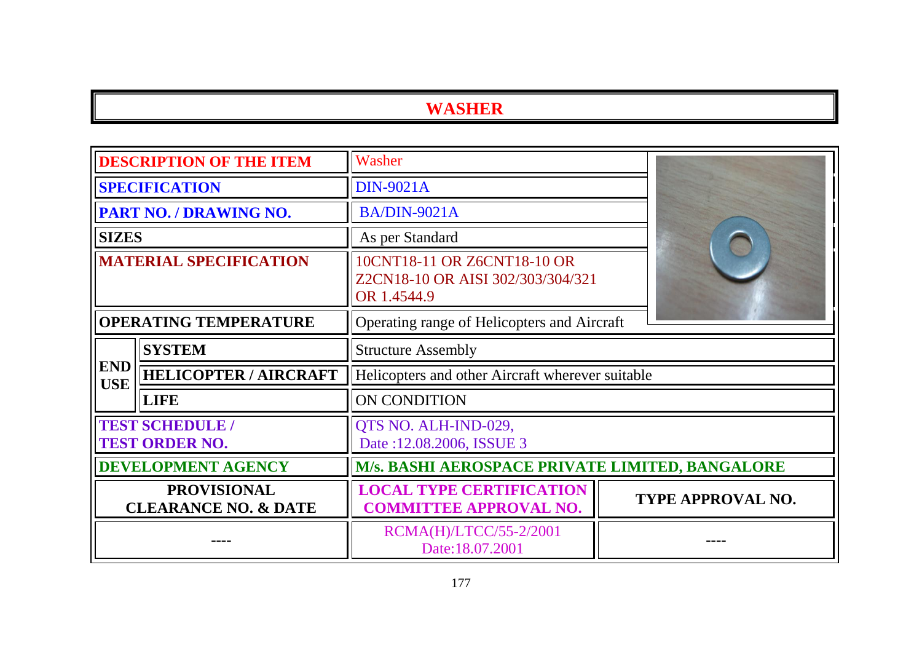| <b>DESCRIPTION OF THE ITEM</b>                        |                              | Washer                                                                          |                          |
|-------------------------------------------------------|------------------------------|---------------------------------------------------------------------------------|--------------------------|
| <b>SPECIFICATION</b>                                  |                              | <b>DIN-9021A</b>                                                                |                          |
|                                                       | PART NO. / DRAWING NO.       | <b>BA/DIN-9021A</b>                                                             |                          |
| <b>SIZES</b>                                          |                              | As per Standard                                                                 |                          |
| <b>MATERIAL SPECIFICATION</b>                         |                              | 10CNT18-11 OR Z6CNT18-10 OR<br>Z2CN18-10 OR AISI 302/303/304/321<br>OR 1.4544.9 |                          |
| <b>OPERATING TEMPERATURE</b>                          |                              | Operating range of Helicopters and Aircraft                                     |                          |
| <b>SYSTEM</b>                                         |                              | <b>Structure Assembly</b>                                                       |                          |
| <b>END</b><br><b>USE</b>                              | <b>HELICOPTER / AIRCRAFT</b> | Helicopters and other Aircraft wherever suitable                                |                          |
|                                                       | <b>LIFE</b>                  | <b>ON CONDITION</b>                                                             |                          |
| <b>TEST SCHEDULE /</b><br><b>TEST ORDER NO.</b>       |                              | QTS NO. ALH-IND-029,<br>Date: 12.08.2006, ISSUE 3                               |                          |
| <b>DEVELOPMENT AGENCY</b>                             |                              | M/s. BASHI AEROSPACE PRIVATE LIMITED, BANGALORE                                 |                          |
| <b>PROVISIONAL</b><br><b>CLEARANCE NO. &amp; DATE</b> |                              | <b>LOCAL TYPE CERTIFICATION</b><br><b>COMMITTEE APPROVAL NO.</b>                | <b>TYPE APPROVAL NO.</b> |
|                                                       |                              | RCMA(H)/LTCC/55-2/2001<br>Date:18.07.2001                                       |                          |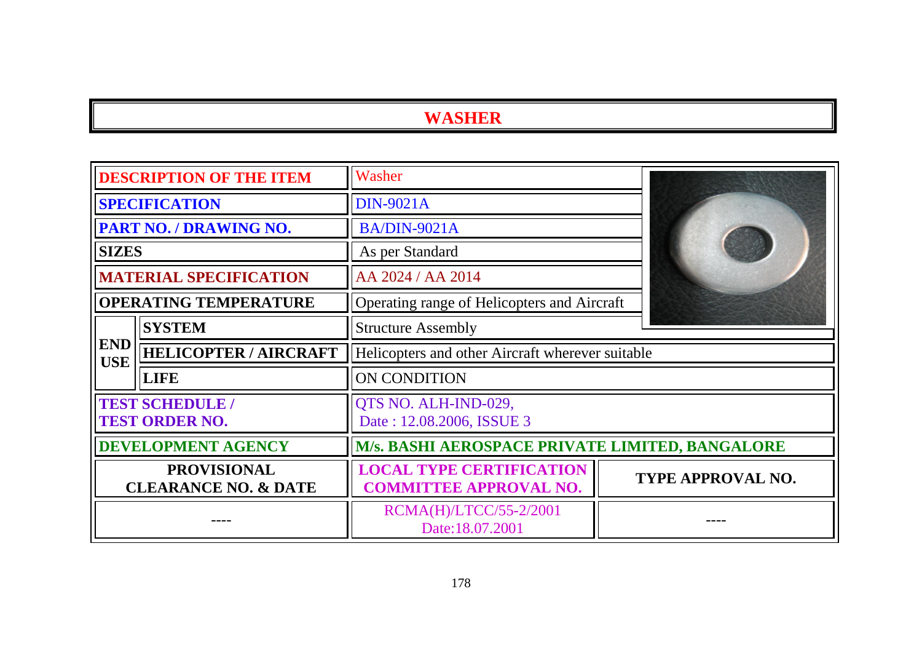|                                                          | <b>DESCRIPTION OF THE ITEM</b>                  | Washer                                                           |                   |  |
|----------------------------------------------------------|-------------------------------------------------|------------------------------------------------------------------|-------------------|--|
|                                                          | <b>SPECIFICATION</b>                            | <b>DIN-9021A</b>                                                 |                   |  |
|                                                          | PART NO. / DRAWING NO.                          | <b>BA/DIN-9021A</b>                                              |                   |  |
| <b>SIZES</b>                                             |                                                 | As per Standard                                                  |                   |  |
|                                                          | <b>MATERIAL SPECIFICATION</b>                   | AA 2024 / AA 2014                                                |                   |  |
|                                                          | <b>OPERATING TEMPERATURE</b>                    | Operating range of Helicopters and Aircraft                      |                   |  |
|                                                          | <b>SYSTEM</b>                                   | <b>Structure Assembly</b>                                        |                   |  |
| <b>END</b><br><b>HELICOPTER / AIRCRAFT</b><br><b>USE</b> |                                                 | Helicopters and other Aircraft wherever suitable                 |                   |  |
|                                                          | <b>LIFE</b>                                     | ON CONDITION                                                     |                   |  |
|                                                          | <b>TEST SCHEDULE /</b><br><b>TEST ORDER NO.</b> | QTS NO. ALH-IND-029,<br>Date: 12.08.2006, ISSUE 3                |                   |  |
| <b>DEVELOPMENT AGENCY</b>                                |                                                 | <b>M/s. BASHI AEROSPACE PRIVATE LIMITED, BANGALORE</b>           |                   |  |
| <b>PROVISIONAL</b><br><b>CLEARANCE NO. &amp; DATE</b>    |                                                 | <b>LOCAL TYPE CERTIFICATION</b><br><b>COMMITTEE APPROVAL NO.</b> | TYPE APPROVAL NO. |  |
|                                                          |                                                 | RCMA(H)/LTCC/55-2/2001<br>Date:18.07.2001                        |                   |  |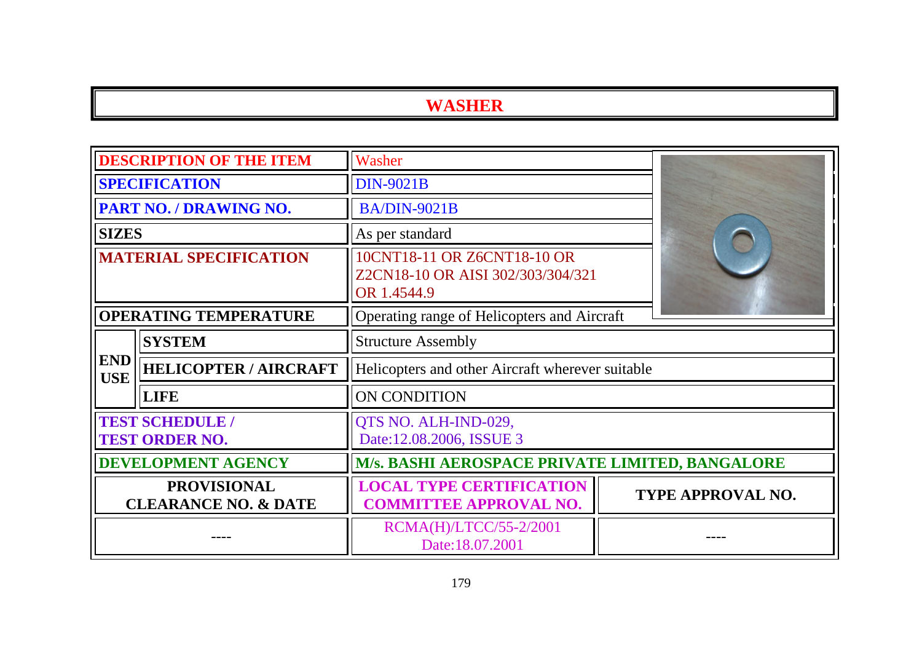|                                                       | <b>DESCRIPTION OF THE ITEM</b>                  | Washer                                                                          |                   |  |
|-------------------------------------------------------|-------------------------------------------------|---------------------------------------------------------------------------------|-------------------|--|
| <b>SPECIFICATION</b>                                  |                                                 | <b>DIN-9021B</b>                                                                |                   |  |
|                                                       | PART NO. / DRAWING NO.                          | <b>BA/DIN-9021B</b>                                                             |                   |  |
| <b>SIZES</b>                                          |                                                 | As per standard                                                                 |                   |  |
| <b>MATERIAL SPECIFICATION</b>                         |                                                 | 10CNT18-11 OR Z6CNT18-10 OR<br>Z2CN18-10 OR AISI 302/303/304/321<br>OR 1.4544.9 |                   |  |
| <b>OPERATING TEMPERATURE</b>                          |                                                 | Operating range of Helicopters and Aircraft                                     |                   |  |
|                                                       | <b>SYSTEM</b>                                   | <b>Structure Assembly</b>                                                       |                   |  |
| <b>END</b><br><b>USE</b>                              | <b>HELICOPTER / AIRCRAFT</b>                    | Helicopters and other Aircraft wherever suitable                                |                   |  |
|                                                       | <b>LIFE</b>                                     | ON CONDITION                                                                    |                   |  |
|                                                       | <b>TEST SCHEDULE /</b><br><b>TEST ORDER NO.</b> | QTS NO. ALH-IND-029,<br>Date:12.08.2006, ISSUE 3                                |                   |  |
| <b>DEVELOPMENT AGENCY</b>                             |                                                 | M/s. BASHI AEROSPACE PRIVATE LIMITED, BANGALORE                                 |                   |  |
| <b>PROVISIONAL</b><br><b>CLEARANCE NO. &amp; DATE</b> |                                                 | <b>LOCAL TYPE CERTIFICATION</b><br><b>COMMITTEE APPROVAL NO.</b>                | TYPE APPROVAL NO. |  |
|                                                       |                                                 | RCMA(H)/LTCC/55-2/2001<br>Date:18.07.2001                                       |                   |  |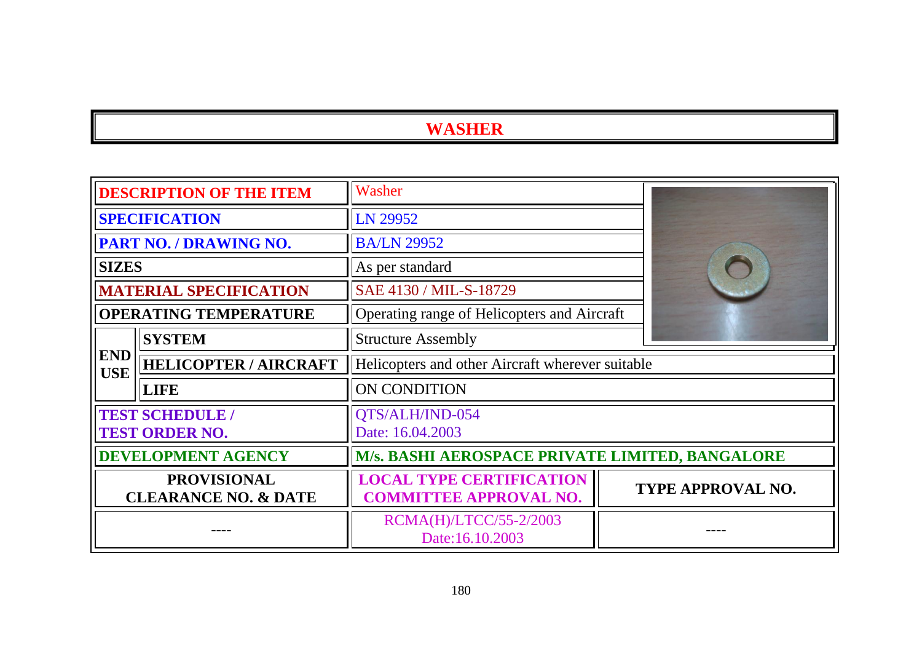|                                                       | <b>DESCRIPTION OF THE ITEM</b>                  | Washer                                                           |                                             |                   |
|-------------------------------------------------------|-------------------------------------------------|------------------------------------------------------------------|---------------------------------------------|-------------------|
|                                                       | <b>SPECIFICATION</b>                            | LN 29952                                                         |                                             |                   |
|                                                       | PART NO. / DRAWING NO.                          | <b>BA/LN 29952</b>                                               |                                             |                   |
| <b>SIZES</b>                                          |                                                 | As per standard                                                  |                                             |                   |
|                                                       | <b>MATERIAL SPECIFICATION</b>                   | SAE 4130 / MIL-S-18729                                           |                                             |                   |
|                                                       | <b>OPERATING TEMPERATURE</b>                    |                                                                  | Operating range of Helicopters and Aircraft |                   |
| <b>SYSTEM</b>                                         |                                                 | <b>Structure Assembly</b>                                        |                                             |                   |
| <b>END</b><br><b>USE</b>                              | <b>HELICOPTER / AIRCRAFT</b>                    | Helicopters and other Aircraft wherever suitable                 |                                             |                   |
|                                                       | <b>LIFE</b>                                     | <b>ON CONDITION</b>                                              |                                             |                   |
|                                                       | <b>TEST SCHEDULE /</b><br><b>TEST ORDER NO.</b> | QTS/ALH/IND-054<br>Date: 16.04.2003                              |                                             |                   |
| <b>DEVELOPMENT AGENCY</b>                             |                                                 | M/s. BASHI AEROSPACE PRIVATE LIMITED, BANGALORE                  |                                             |                   |
| <b>PROVISIONAL</b><br><b>CLEARANCE NO. &amp; DATE</b> |                                                 | <b>LOCAL TYPE CERTIFICATION</b><br><b>COMMITTEE APPROVAL NO.</b> |                                             | TYPE APPROVAL NO. |
|                                                       |                                                 | RCMA(H)/LTCC/55-2/2003<br>Date:16.10.2003                        |                                             |                   |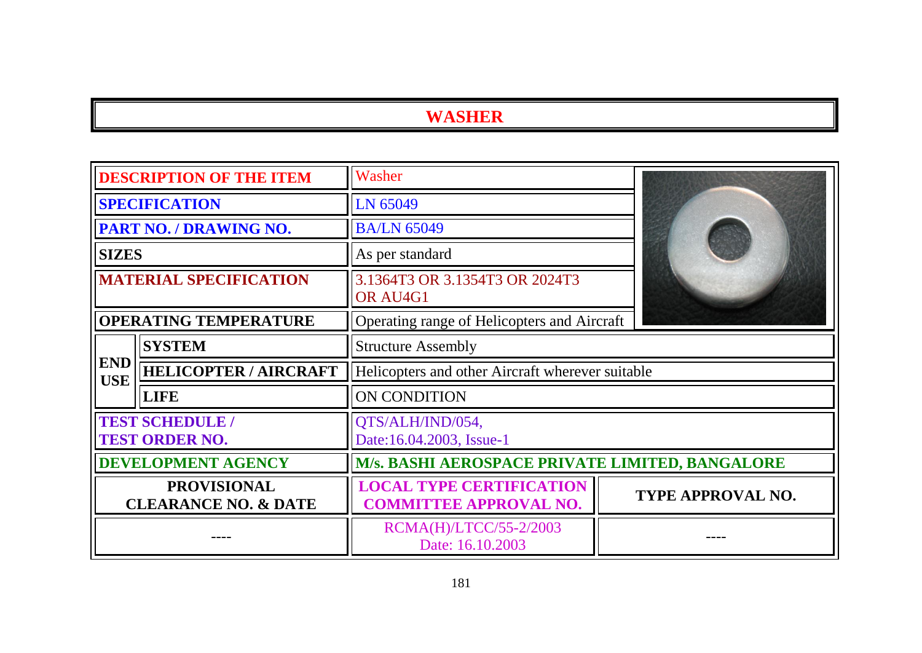|                                                       | <b>DESCRIPTION OF THE ITEM</b>                | Washer                                                           |                   |  |
|-------------------------------------------------------|-----------------------------------------------|------------------------------------------------------------------|-------------------|--|
|                                                       | <b>SPECIFICATION</b>                          | LN 65049                                                         |                   |  |
|                                                       | <b>PART NO. / DRAWING NO.</b>                 | <b>BA/LN 65049</b>                                               |                   |  |
| <b>SIZES</b>                                          |                                               | As per standard                                                  |                   |  |
|                                                       | <b>MATERIAL SPECIFICATION</b>                 | 3.1364T3 OR 3.1354T3 OR 2024T3<br>OR AU4G1                       |                   |  |
|                                                       | <b>OPERATING TEMPERATURE</b>                  | Operating range of Helicopters and Aircraft                      |                   |  |
|                                                       | <b>SYSTEM</b>                                 | <b>Structure Assembly</b>                                        |                   |  |
| <b>END</b><br><b>USE</b>                              | <b>HELICOPTER / AIRCRAFT</b>                  | Helicopters and other Aircraft wherever suitable                 |                   |  |
|                                                       | <b>LIFE</b>                                   | <b>ON CONDITION</b>                                              |                   |  |
|                                                       | <b>TEST SCHEDULE</b><br><b>TEST ORDER NO.</b> | QTS/ALH/IND/054,<br>Date:16.04.2003, Issue-1                     |                   |  |
| <b>DEVELOPMENT AGENCY</b>                             |                                               | <b>M/s. BASHI AEROSPACE PRIVATE LIMITED, BANGALORE</b>           |                   |  |
| <b>PROVISIONAL</b><br><b>CLEARANCE NO. &amp; DATE</b> |                                               | <b>LOCAL TYPE CERTIFICATION</b><br><b>COMMITTEE APPROVAL NO.</b> | TYPE APPROVAL NO. |  |
|                                                       |                                               | RCMA(H)/LTCC/55-2/2003<br>Date: 16.10.2003                       |                   |  |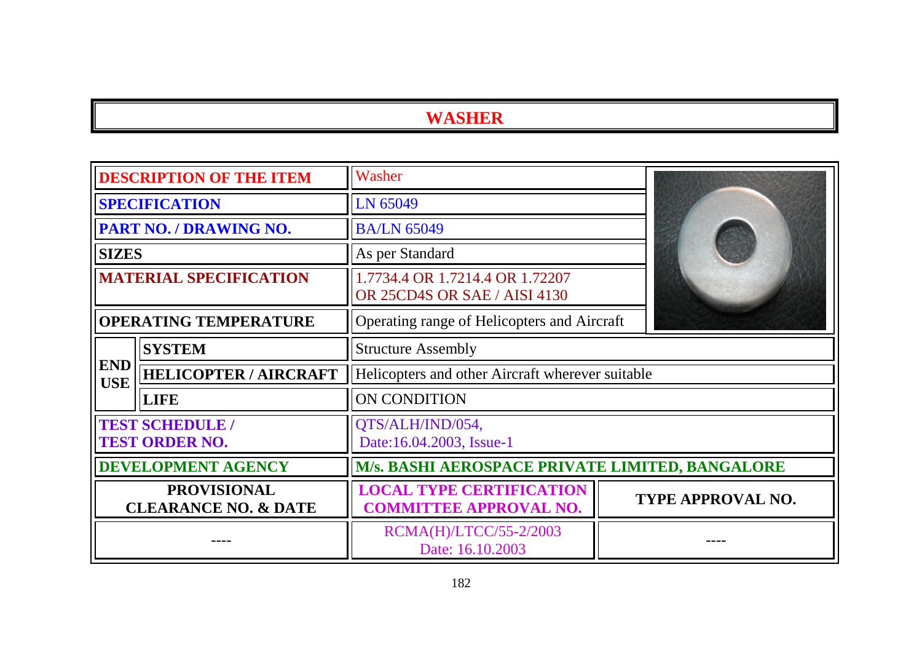| <b>DESCRIPTION OF THE ITEM</b>                        |                                                 | Washer                                                           |  |                          |
|-------------------------------------------------------|-------------------------------------------------|------------------------------------------------------------------|--|--------------------------|
| <b>SPECIFICATION</b>                                  |                                                 | LN 65049                                                         |  |                          |
|                                                       | PART NO. / DRAWING NO.                          | <b>BA/LN 65049</b>                                               |  |                          |
| <b>SIZES</b>                                          |                                                 | As per Standard                                                  |  |                          |
| <b>MATERIAL SPECIFICATION</b>                         |                                                 | 1.7734.4 OR 1.7214.4 OR 1.72207<br>OR 25CD4S OR SAE / AISI 4130  |  |                          |
|                                                       | <b>OPERATING TEMPERATURE</b>                    | Operating range of Helicopters and Aircraft                      |  |                          |
|                                                       | <b>SYSTEM</b>                                   | <b>Structure Assembly</b>                                        |  |                          |
| <b>END</b><br><b>USE</b>                              | <b>HELICOPTER / AIRCRAFT</b>                    | Helicopters and other Aircraft wherever suitable                 |  |                          |
|                                                       | <b>LIFE</b>                                     | ON CONDITION                                                     |  |                          |
|                                                       | <b>TEST SCHEDULE /</b><br><b>TEST ORDER NO.</b> | QTS/ALH/IND/054,<br>Date:16.04.2003, Issue-1                     |  |                          |
| <b>DEVELOPMENT AGENCY</b>                             |                                                 | M/s. BASHI AEROSPACE PRIVATE LIMITED, BANGALORE                  |  |                          |
| <b>PROVISIONAL</b><br><b>CLEARANCE NO. &amp; DATE</b> |                                                 | <b>LOCAL TYPE CERTIFICATION</b><br><b>COMMITTEE APPROVAL NO.</b> |  | <b>TYPE APPROVAL NO.</b> |
|                                                       |                                                 | RCMA(H)/LTCC/55-2/2003<br>Date: 16.10.2003                       |  |                          |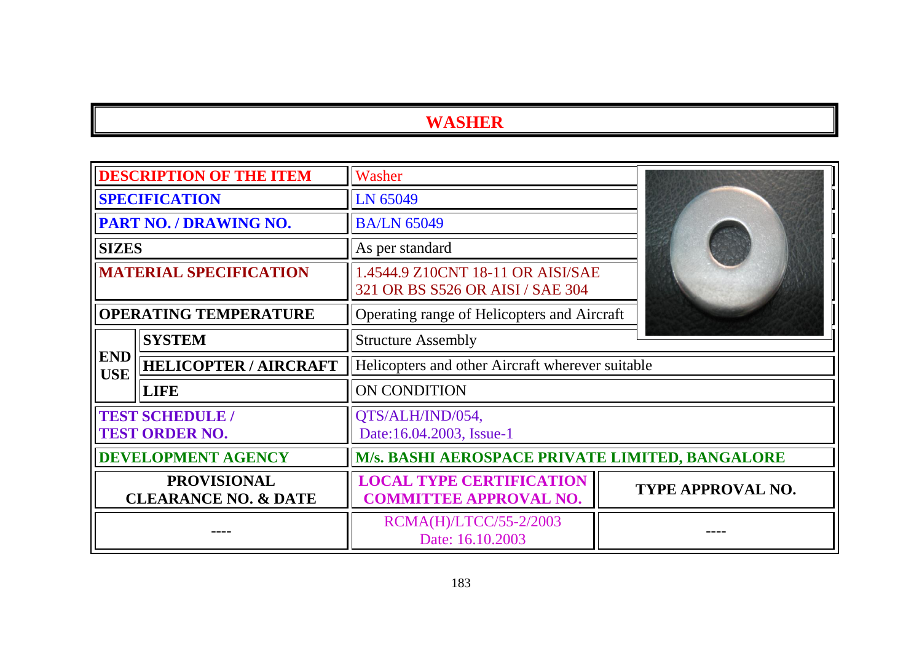|                                                       | <b>DESCRIPTION OF THE ITEM</b>                  | Washer                                                                |                   |
|-------------------------------------------------------|-------------------------------------------------|-----------------------------------------------------------------------|-------------------|
|                                                       | <b>SPECIFICATION</b>                            | LN 65049                                                              |                   |
|                                                       | PART NO. / DRAWING NO.                          | <b>BA/LN 65049</b>                                                    |                   |
| <b>SIZES</b>                                          |                                                 | As per standard                                                       |                   |
|                                                       | <b>MATERIAL SPECIFICATION</b>                   | 1.4544.9 Z10CNT 18-11 OR AISI/SAE<br>321 OR BS S526 OR AISI / SAE 304 |                   |
| <b>OPERATING TEMPERATURE</b>                          |                                                 | Operating range of Helicopters and Aircraft                           |                   |
|                                                       | <b>SYSTEM</b>                                   | <b>Structure Assembly</b>                                             |                   |
| <b>END</b><br><b>USE</b>                              | <b>HELICOPTER / AIRCRAFT</b>                    | Helicopters and other Aircraft wherever suitable                      |                   |
|                                                       | <b>LIFE</b>                                     | <b>ON CONDITION</b>                                                   |                   |
|                                                       | <b>TEST SCHEDULE /</b><br><b>TEST ORDER NO.</b> | QTS/ALH/IND/054,<br>Date:16.04.2003, Issue-1                          |                   |
| <b>DEVELOPMENT AGENCY</b>                             |                                                 | M/s. BASHI AEROSPACE PRIVATE LIMITED, BANGALORE                       |                   |
| <b>PROVISIONAL</b><br><b>CLEARANCE NO. &amp; DATE</b> |                                                 | <b>LOCAL TYPE CERTIFICATION</b><br><b>COMMITTEE APPROVAL NO.</b>      | TYPE APPROVAL NO. |
|                                                       |                                                 | RCMA(H)/LTCC/55-2/2003<br>Date: 16.10.2003                            |                   |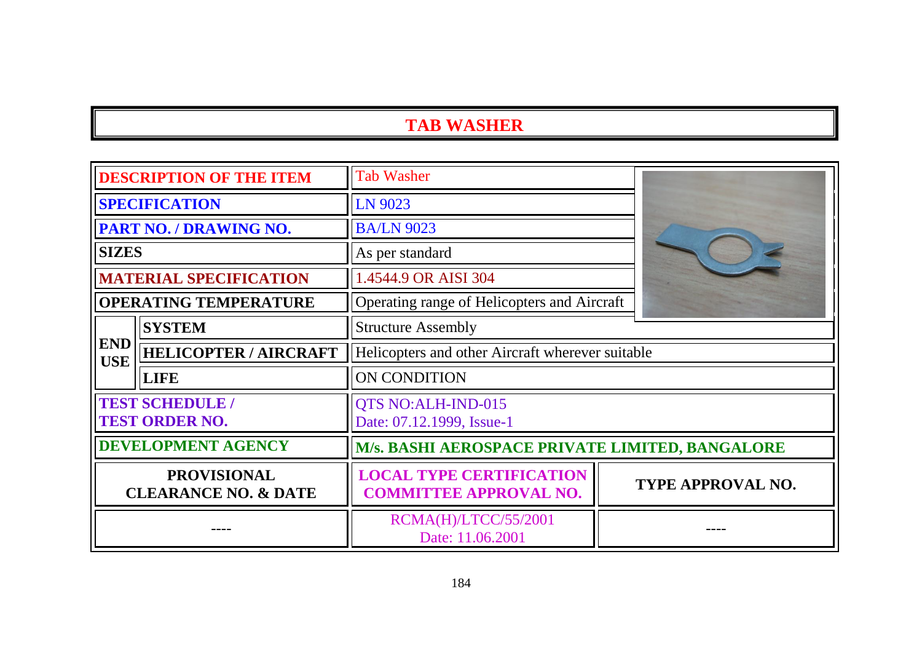# **TAB WASHER**

| <b>DESCRIPTION OF THE ITEM</b>                        |                                                 | <b>Tab Washer</b>                                                |                          |  |
|-------------------------------------------------------|-------------------------------------------------|------------------------------------------------------------------|--------------------------|--|
|                                                       | <b>SPECIFICATION</b>                            | LN 9023                                                          |                          |  |
|                                                       | <b>PART NO. / DRAWING NO.</b>                   | <b>BA/LN 9023</b>                                                |                          |  |
| <b>SIZES</b>                                          |                                                 | As per standard                                                  |                          |  |
|                                                       | <b>MATERIAL SPECIFICATION</b>                   | 1.4544.9 OR AISI 304                                             |                          |  |
|                                                       | <b>OPERATING TEMPERATURE</b>                    | Operating range of Helicopters and Aircraft                      |                          |  |
|                                                       | <b>SYSTEM</b>                                   | <b>Structure Assembly</b>                                        |                          |  |
| <b>END</b><br><b>USE</b>                              | <b>HELICOPTER / AIRCRAFT</b>                    | Helicopters and other Aircraft wherever suitable                 |                          |  |
|                                                       | <b>LIFE</b>                                     | <b>ON CONDITION</b>                                              |                          |  |
|                                                       | <b>TEST SCHEDULE /</b><br><b>TEST ORDER NO.</b> | QTS NO:ALH-IND-015<br>Date: 07.12.1999, Issue-1                  |                          |  |
| <b>DEVELOPMENT AGENCY</b>                             |                                                 | M/s. BASHI AEROSPACE PRIVATE LIMITED, BANGALORE                  |                          |  |
| <b>PROVISIONAL</b><br><b>CLEARANCE NO. &amp; DATE</b> |                                                 | <b>LOCAL TYPE CERTIFICATION</b><br><b>COMMITTEE APPROVAL NO.</b> | <b>TYPE APPROVAL NO.</b> |  |
|                                                       |                                                 | RCMA(H)/LTCC/55/2001<br>Date: 11.06.2001                         |                          |  |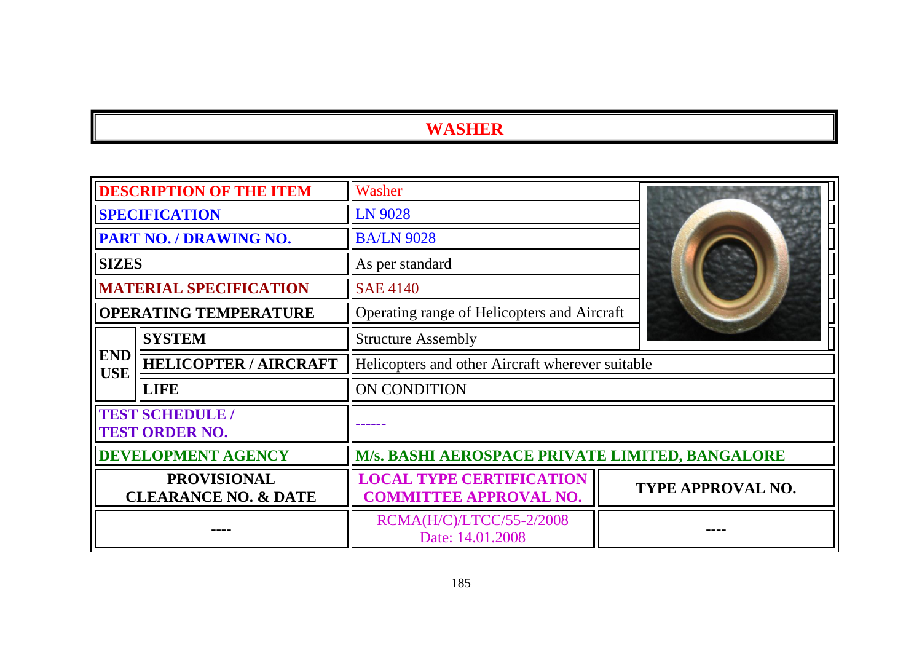| <b>DESCRIPTION OF THE ITEM</b>                        |                              | Washer                                                           |                                             |                          |
|-------------------------------------------------------|------------------------------|------------------------------------------------------------------|---------------------------------------------|--------------------------|
| <b>SPECIFICATION</b>                                  |                              | LN 9028                                                          |                                             |                          |
|                                                       | PART NO. / DRAWING NO.       | <b>BA/LN 9028</b>                                                |                                             |                          |
| <b>SIZES</b>                                          |                              | As per standard                                                  |                                             |                          |
| <b>MATERIAL SPECIFICATION</b>                         |                              | <b>SAE 4140</b>                                                  |                                             |                          |
|                                                       | <b>OPERATING TEMPERATURE</b> |                                                                  | Operating range of Helicopters and Aircraft |                          |
|                                                       | <b>SYSTEM</b>                | <b>Structure Assembly</b>                                        |                                             |                          |
| <b>END</b><br><b>USE</b>                              | <b>HELICOPTER / AIRCRAFT</b> | Helicopters and other Aircraft wherever suitable                 |                                             |                          |
|                                                       | <b>LIFE</b>                  | <b>ON CONDITION</b>                                              |                                             |                          |
| <b>TEST SCHEDULE /</b><br><b>TEST ORDER NO.</b>       |                              |                                                                  |                                             |                          |
| <b>DEVELOPMENT AGENCY</b>                             |                              | M/s. BASHI AEROSPACE PRIVATE LIMITED, BANGALORE                  |                                             |                          |
| <b>PROVISIONAL</b><br><b>CLEARANCE NO. &amp; DATE</b> |                              | <b>LOCAL TYPE CERTIFICATION</b><br><b>COMMITTEE APPROVAL NO.</b> |                                             | <b>TYPE APPROVAL NO.</b> |
|                                                       |                              | RCMA(H/C)/LTCC/55-2/2008<br>Date: 14.01.2008                     |                                             |                          |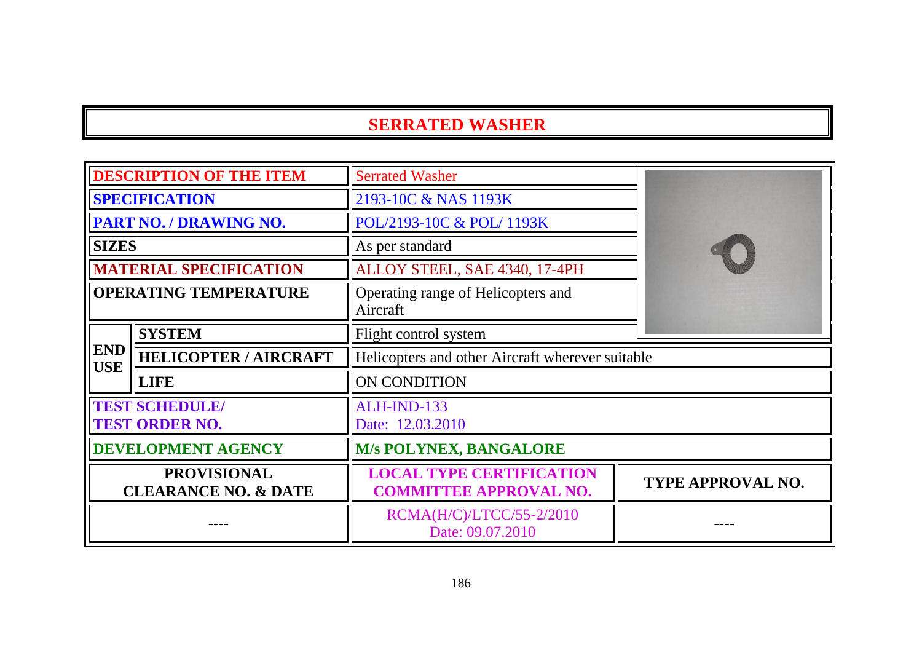#### **SERRATED WASHER**

| <b>DESCRIPTION OF THE ITEM</b>                        |                               | <b>Serrated Washer</b>                                           |                          |  |
|-------------------------------------------------------|-------------------------------|------------------------------------------------------------------|--------------------------|--|
| <b>SPECIFICATION</b>                                  |                               | 2193-10C & NAS 1193K                                             |                          |  |
|                                                       | <b>PART NO. / DRAWING NO.</b> | POL/2193-10C & POL/1193K                                         |                          |  |
| <b>SIZES</b>                                          |                               | As per standard                                                  |                          |  |
|                                                       | <b>MATERIAL SPECIFICATION</b> | ALLOY STEEL, SAE 4340, 17-4PH                                    |                          |  |
| <b>OPERATING TEMPERATURE</b>                          |                               | Operating range of Helicopters and<br>Aircraft                   |                          |  |
|                                                       | <b>SYSTEM</b>                 | Flight control system                                            |                          |  |
| <b>END</b><br><b>USE</b>                              | <b>HELICOPTER / AIRCRAFT</b>  | Helicopters and other Aircraft wherever suitable                 |                          |  |
|                                                       | <b>LIFE</b>                   | ON CONDITION                                                     |                          |  |
| <b>TEST SCHEDULE/</b><br><b>TEST ORDER NO.</b>        |                               | ALH-IND-133<br>Date: 12.03.2010                                  |                          |  |
| DEVELOPMENT AGENCY                                    |                               | <b>M/s POLYNEX, BANGALORE</b>                                    |                          |  |
| <b>PROVISIONAL</b><br><b>CLEARANCE NO. &amp; DATE</b> |                               | <b>LOCAL TYPE CERTIFICATION</b><br><b>COMMITTEE APPROVAL NO.</b> | <b>TYPE APPROVAL NO.</b> |  |
|                                                       |                               | RCMA(H/C)/LTCC/55-2/2010<br>Date: 09.07.2010                     |                          |  |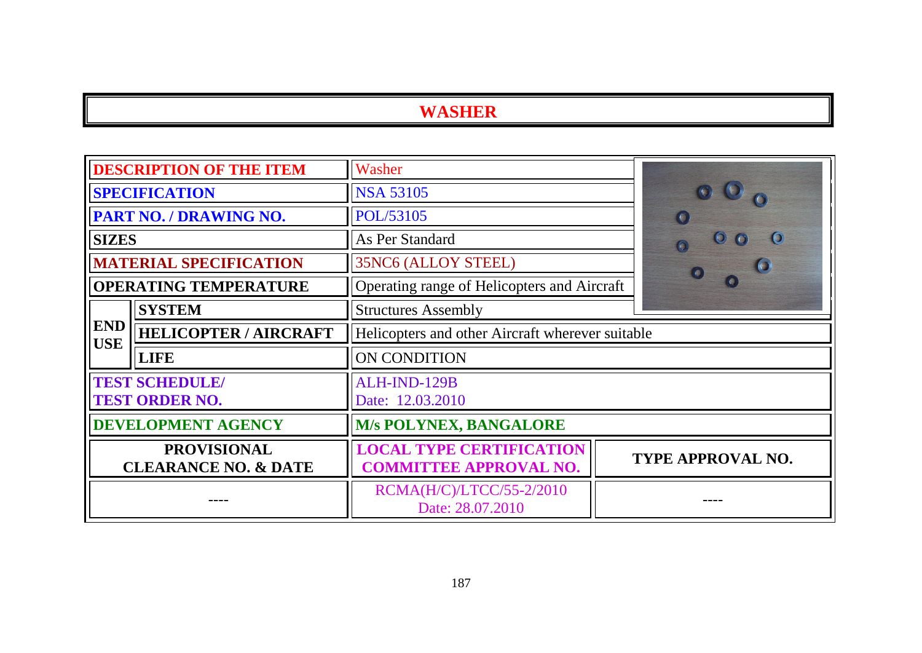| <b>DESCRIPTION OF THE ITEM</b>                        |                               | Washer                                                           |  |                       |
|-------------------------------------------------------|-------------------------------|------------------------------------------------------------------|--|-----------------------|
| <b>SPECIFICATION</b>                                  |                               | <b>NSA 53105</b>                                                 |  |                       |
|                                                       | PART NO. / DRAWING NO.        | POL/53105                                                        |  | $\sqrt{2}$            |
| <b>SIZES</b>                                          |                               | As Per Standard                                                  |  | $\bullet$<br>$\omega$ |
|                                                       | <b>MATERIAL SPECIFICATION</b> | 35NC6 (ALLOY STEEL)                                              |  |                       |
|                                                       | <b>OPERATING TEMPERATURE</b>  | Operating range of Helicopters and Aircraft                      |  |                       |
|                                                       | <b>SYSTEM</b>                 | <b>Structures Assembly</b>                                       |  |                       |
| <b>END</b><br><b>USE</b>                              | <b>HELICOPTER / AIRCRAFT</b>  | Helicopters and other Aircraft wherever suitable                 |  |                       |
|                                                       | <b>LIFE</b>                   | ON CONDITION                                                     |  |                       |
| <b>TEST SCHEDULE/</b><br><b>TEST ORDER NO.</b>        |                               | ALH-IND-129B<br>Date: 12.03.2010                                 |  |                       |
| <b>DEVELOPMENT AGENCY</b>                             |                               | <b>M/s POLYNEX, BANGALORE</b>                                    |  |                       |
| <b>PROVISIONAL</b><br><b>CLEARANCE NO. &amp; DATE</b> |                               | <b>LOCAL TYPE CERTIFICATION</b><br><b>COMMITTEE APPROVAL NO.</b> |  | TYPE APPROVAL NO.     |
|                                                       |                               | RCMA(H/C)/LTCC/55-2/2010<br>Date: 28.07.2010                     |  |                       |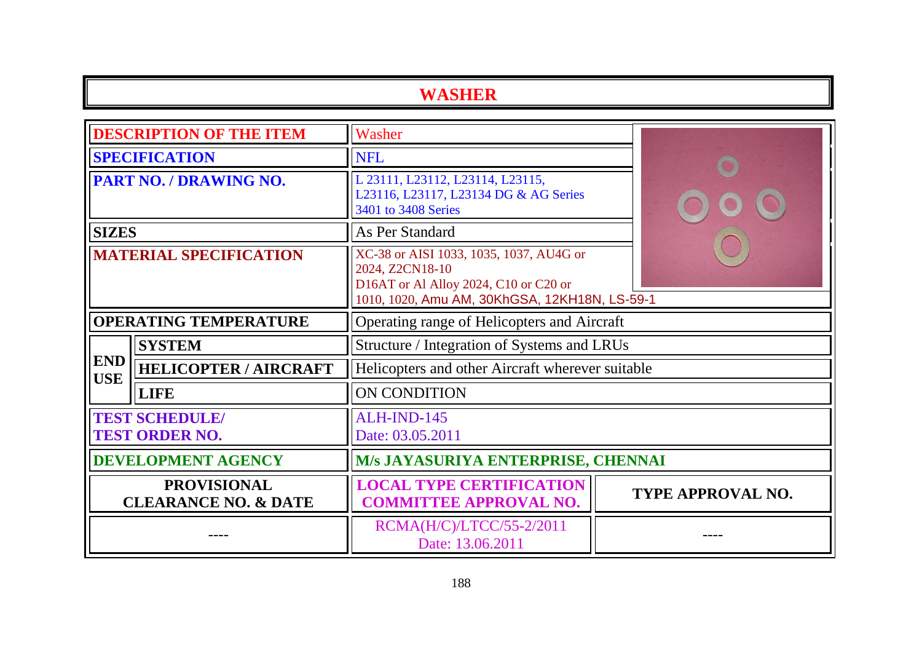| <b>DESCRIPTION OF THE ITEM</b>                        |                              | Washer                                                                                                                                               |                   |  |
|-------------------------------------------------------|------------------------------|------------------------------------------------------------------------------------------------------------------------------------------------------|-------------------|--|
| <b>SPECIFICATION</b>                                  |                              | <b>NFL</b>                                                                                                                                           |                   |  |
| <b>PART NO. / DRAWING NO.</b>                         |                              | L 23111, L23112, L23114, L23115,<br>L23116, L23117, L23134 DG & AG Series<br>3401 to 3408 Series                                                     |                   |  |
| <b>SIZES</b>                                          |                              | As Per Standard                                                                                                                                      |                   |  |
| <b>MATERIAL SPECIFICATION</b>                         |                              | XC-38 or AISI 1033, 1035, 1037, AU4G or<br>2024, Z2CN18-10<br>D16AT or Al Alloy 2024, C10 or C20 or<br>1010, 1020, Amu AM, 30KhGSA, 12KH18N, LS-59-1 |                   |  |
| <b>OPERATING TEMPERATURE</b>                          |                              | Operating range of Helicopters and Aircraft                                                                                                          |                   |  |
|                                                       | <b>SYSTEM</b>                | Structure / Integration of Systems and LRUs                                                                                                          |                   |  |
| <b>END</b><br><b>USE</b>                              | <b>HELICOPTER / AIRCRAFT</b> | Helicopters and other Aircraft wherever suitable                                                                                                     |                   |  |
|                                                       | <b>LIFE</b>                  | ON CONDITION                                                                                                                                         |                   |  |
| <b>TEST SCHEDULE/</b><br><b>TEST ORDER NO.</b>        |                              | ALH-IND-145<br>Date: 03.05.2011                                                                                                                      |                   |  |
| <b>DEVELOPMENT AGENCY</b>                             |                              | M/s JAYASURIYA ENTERPRISE, CHENNAI                                                                                                                   |                   |  |
| <b>PROVISIONAL</b><br><b>CLEARANCE NO. &amp; DATE</b> |                              | <b>LOCAL TYPE CERTIFICATION</b><br><b>COMMITTEE APPROVAL NO.</b>                                                                                     | TYPE APPROVAL NO. |  |
|                                                       |                              | RCMA(H/C)/LTCC/55-2/2011<br>Date: 13.06.2011                                                                                                         |                   |  |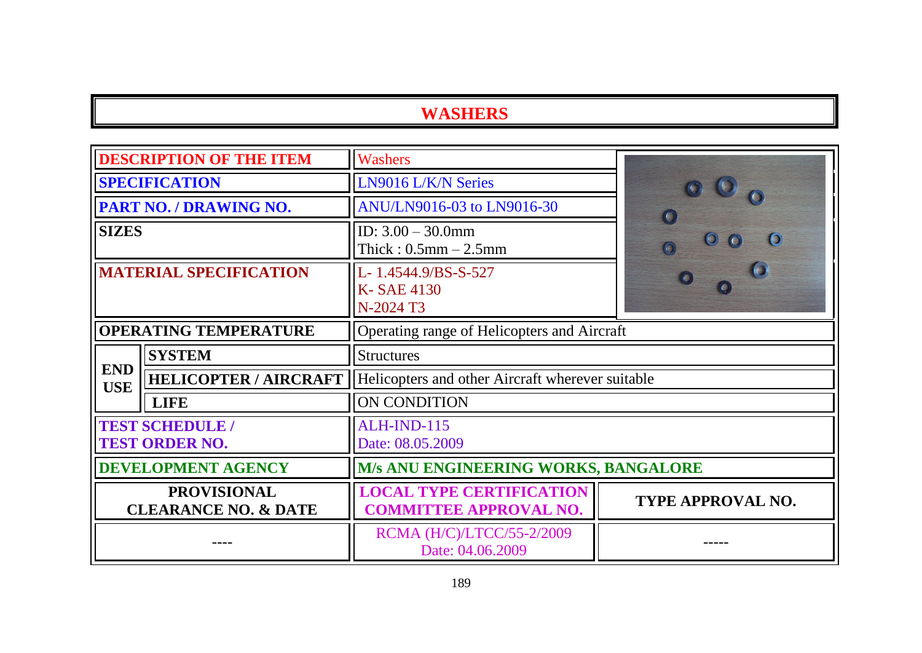| <b>DESCRIPTION OF THE ITEM</b>                        |                              | Washers                                                          |                          |  |
|-------------------------------------------------------|------------------------------|------------------------------------------------------------------|--------------------------|--|
| <b>SPECIFICATION</b>                                  |                              | LN9016 L/K/N Series                                              |                          |  |
|                                                       | PART NO. / DRAWING NO.       | ANU/LN9016-03 to LN9016-30                                       | $\sqrt{2}$               |  |
| <b>SIZES</b>                                          |                              | ID: $3.00 - 30.0$ mm<br>Thick: $0.5$ mm $- 2.5$ mm               | $\bullet$                |  |
| <b>MATERIAL SPECIFICATION</b>                         |                              | L-1.4544.9/BS-S-527<br>K-SAE 4130<br>N-2024 T3                   |                          |  |
| <b>OPERATING TEMPERATURE</b>                          |                              | Operating range of Helicopters and Aircraft                      |                          |  |
| <b>SYSTEM</b>                                         |                              | <b>Structures</b>                                                |                          |  |
| <b>END</b><br><b>USE</b>                              | <b>HELICOPTER / AIRCRAFT</b> | Helicopters and other Aircraft wherever suitable                 |                          |  |
|                                                       | <b>LIFE</b>                  | ON CONDITION                                                     |                          |  |
| <b>TEST SCHEDULE /</b><br><b>TEST ORDER NO.</b>       |                              | ALH-IND-115<br>Date: 08.05.2009                                  |                          |  |
| <b>DEVELOPMENT AGENCY</b>                             |                              | M/s ANU ENGINEERING WORKS, BANGALORE                             |                          |  |
| <b>PROVISIONAL</b><br><b>CLEARANCE NO. &amp; DATE</b> |                              | <b>LOCAL TYPE CERTIFICATION</b><br><b>COMMITTEE APPROVAL NO.</b> | <b>TYPE APPROVAL NO.</b> |  |
|                                                       |                              | RCMA (H/C)/LTCC/55-2/2009<br>Date: 04.06.2009                    |                          |  |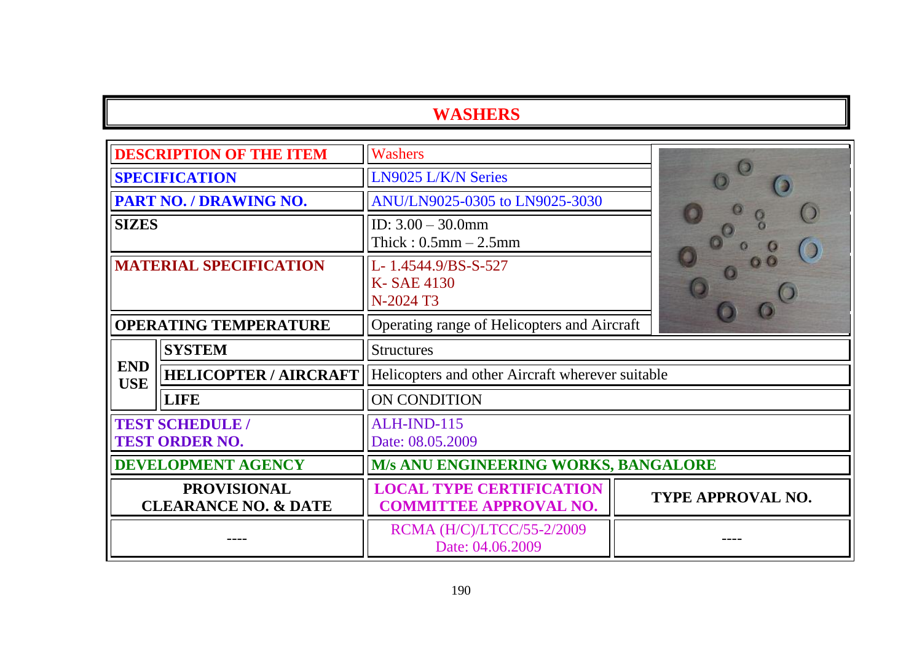| <b>DESCRIPTION OF THE ITEM</b>                        |                              | <b>Washers</b>                                                   |                   |  |
|-------------------------------------------------------|------------------------------|------------------------------------------------------------------|-------------------|--|
| <b>SPECIFICATION</b>                                  |                              | LN9025 L/K/N Series                                              |                   |  |
| PART NO. / DRAWING NO.                                |                              | ANU/LN9025-0305 to LN9025-3030                                   |                   |  |
| <b>SIZES</b>                                          |                              | ID: $3.00 - 30.0$ mm<br>Thick: $0.5$ mm $-2.5$ mm                |                   |  |
| <b>MATERIAL SPECIFICATION</b>                         |                              | L-1.4544.9/BS-S-527<br>K-SAE 4130<br>N-2024 T3                   |                   |  |
| <b>OPERATING TEMPERATURE</b>                          |                              | Operating range of Helicopters and Aircraft                      |                   |  |
| <b>SYSTEM</b>                                         |                              | <b>Structures</b>                                                |                   |  |
| <b>END</b><br><b>USE</b>                              | <b>HELICOPTER / AIRCRAFT</b> | Helicopters and other Aircraft wherever suitable                 |                   |  |
|                                                       | <b>LIFE</b>                  | ON CONDITION                                                     |                   |  |
| <b>TEST SCHEDULE /</b><br><b>TEST ORDER NO.</b>       |                              | ALH-IND-115<br>Date: 08.05.2009                                  |                   |  |
| <b>DEVELOPMENT AGENCY</b>                             |                              | <b>M/s ANU ENGINEERING WORKS, BANGALORE</b>                      |                   |  |
| <b>PROVISIONAL</b><br><b>CLEARANCE NO. &amp; DATE</b> |                              | <b>LOCAL TYPE CERTIFICATION</b><br><b>COMMITTEE APPROVAL NO.</b> | TYPE APPROVAL NO. |  |
|                                                       |                              | RCMA (H/C)/LTCC/55-2/2009<br>Date: 04.06.2009                    |                   |  |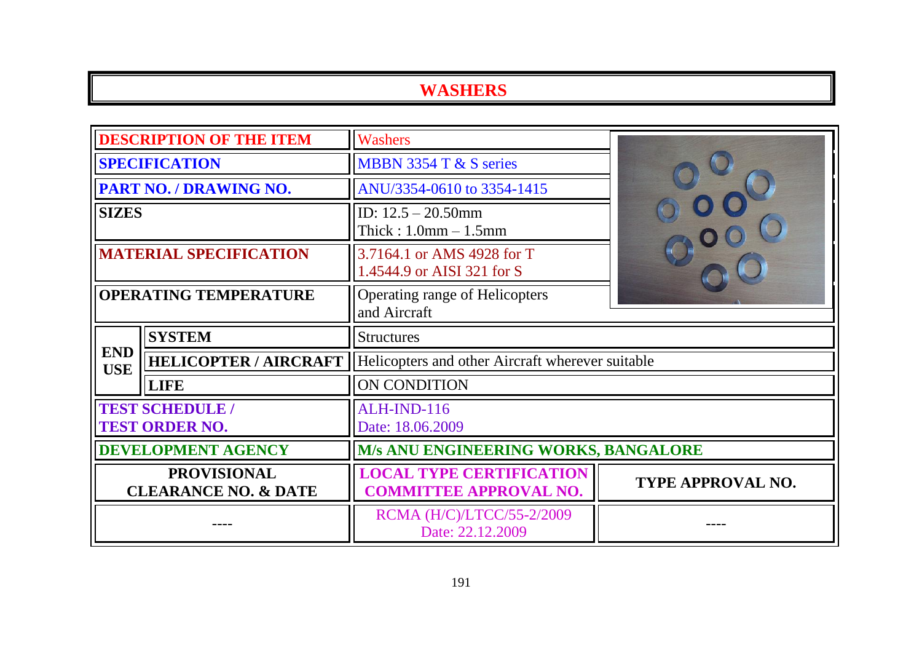| <b>DESCRIPTION OF THE ITEM</b>                        |                              | <b>Washers</b>                                                   |                          |  |
|-------------------------------------------------------|------------------------------|------------------------------------------------------------------|--------------------------|--|
| <b>SPECIFICATION</b>                                  |                              | MBBN 3354 T & S series                                           |                          |  |
| PART NO. / DRAWING NO.                                |                              | ANU/3354-0610 to 3354-1415                                       |                          |  |
| <b>SIZES</b>                                          |                              | ID: $12.5 - 20.50$ mm<br>Thick: $1.0$ mm $- 1.5$ mm              |                          |  |
| <b>MATERIAL SPECIFICATION</b>                         |                              | 3.7164.1 or AMS 4928 for T<br>1.4544.9 or AISI 321 for S         |                          |  |
| <b>OPERATING TEMPERATURE</b>                          |                              | Operating range of Helicopters<br>and Aircraft                   |                          |  |
|                                                       | <b>SYSTEM</b>                | <b>Structures</b>                                                |                          |  |
| <b>END</b><br><b>USE</b>                              | <b>HELICOPTER / AIRCRAFT</b> | Helicopters and other Aircraft wherever suitable                 |                          |  |
|                                                       | <b>LIFE</b>                  | ON CONDITION                                                     |                          |  |
| <b>TEST SCHEDULE /</b><br><b>TEST ORDER NO.</b>       |                              | <b>ALH-IND-116</b><br>Date: 18.06.2009                           |                          |  |
| <b>DEVELOPMENT AGENCY</b>                             |                              | M/s ANU ENGINEERING WORKS, BANGALORE                             |                          |  |
| <b>PROVISIONAL</b><br><b>CLEARANCE NO. &amp; DATE</b> |                              | <b>LOCAL TYPE CERTIFICATION</b><br><b>COMMITTEE APPROVAL NO.</b> | <b>TYPE APPROVAL NO.</b> |  |
|                                                       |                              | RCMA (H/C)/LTCC/55-2/2009<br>Date: 22.12.2009                    |                          |  |